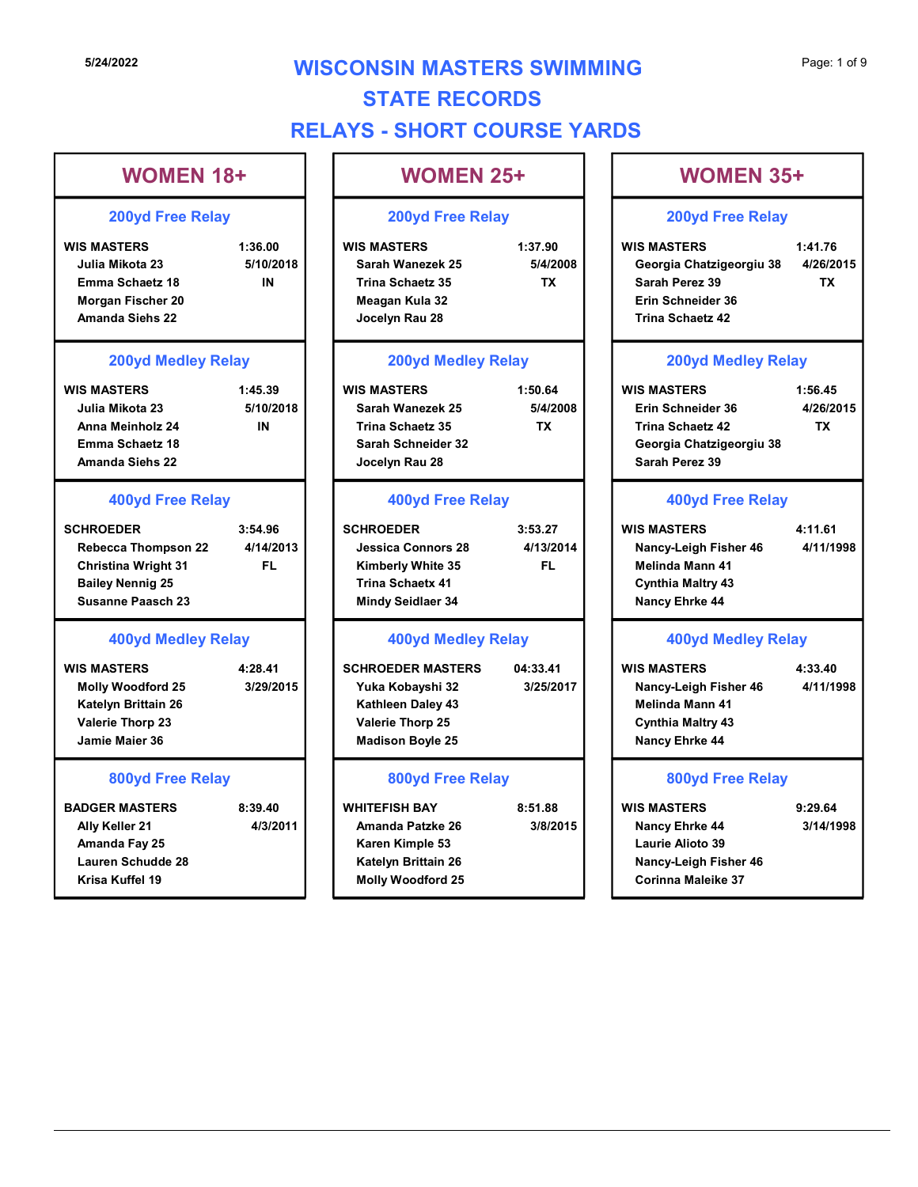# **5/24/2022 WISCONSIN MASTERS SWIMMING** Page: 1 of 9 STATE RECORDS RELAYS - SHORT COURSE YARDS

# WOMEN 18+ SI24/2022<br>
WISCONSIN MASTERS SWIMMING<br>
STATE RECORDS<br>
WOMEN 18+<br>
200yd Free Relay<br>
WISCONSIN MASTERS SWIMMING<br>
WOMEN 25+<br>
200yd Free Relay<br>
200yd Free Relay<br>
WISCONSIN MASTERS SWIMMING<br>
WOMEN 25+<br>
200yd Free Relay<br>
200yd F Julia Mikota 23 **5/10/2018 S** 310 Sarah Wanezek 25 5/4/2008 Emma Schaetz 18 Morgan Fischer 20 Amanda Siehs 22 Jocelyn Rau 28 5/24/2022<br>
STATE RECORDS<br>
WOMEN 18<br>
WOMEN 18<br>
WOMEN 18<br>
WOMEN 18<br>
200yd Free Relay<br>
200yd Free Relay<br>
USCONSIN MASTERS SWIMMING<br>
WIS MASTERS<br>
200yd Free Relay<br>
Julia Mikota 23<br>
Julia Mikota 23<br>
Emma Schaetz 4:<br>
Amand Sieh Julia Mikota 23 5/10/2018 Anna Meinholz 24 Emma Schaetz 18 Amanda Siehs 22 WIS MASTERS<br>
200yd Free Relay<br>
200yd Free Relay<br>
3:56.00<br>
USINAMSERS<br>
LOWING 23<br>
Emma Scheetz 18<br>
Miss Masters<br>
Emma Scheetz 18<br>
Miss Masters<br>
Emma Scheetz 18<br>
Miss Masters<br>
Emma Scheetz 18<br>
Miss Masters<br>
200yd Mediev Rela Rebecca Thompson 22 4/14/2013 Christina Wright 31 Bailey Nennig 25 Susanne Paasch 23 Emma Schaetz 18<br>
Morgan Fischer 20<br>
Morgan Fischer 20<br>
200yd Medley Relay<br>
200yd Medley Relay<br>
200yd Medley Relay<br>
200yd Medley Relay<br>
200yd Medley Relay<br>
200yd Medley Relay<br>
200yd Medley Relay<br>
200yd Medley Relay<br>
200yd M Molly Woodford 25 3/29/2015 Katelyn Brittain 26 Valerie Thorp 23 Jamie Maier 36 Mana Meinholz 24<br>
Amand Scheet 36<br>
Emma Schaet 4:<br>
Manada Siehs 22<br>
Manada Siehs 22<br>
400yd Free Relay<br>
400yd Free Relay<br>
400yd Free Relay<br>
5:44.9013<br>
CHROEDER<br>
Rebecca Thompson 22<br>
414.2013<br>
Christian Wight 31<br>
Elimi Schee Ally Keller 21 4/3/2011 | | Amanda Patzke 26 3/8/2015 | | Nancy Ehrke 44 3/14/19 Amanda Fay 25 Lauren Schudde 28 200yd Free Relay 200yd Medley Relay 400yd Free Relay 400yd Medley Relay 800yd Free Relay IN Trina Schaetz 35 IN | Trina Schaetz 35 TX | | FL | Kimberly White 35 FL CONSIN MASTERS SWIMMING<br>
STATE RECORDS<br>
WS - SHORT COURSE YARDS<br>
WOMEN 25+<br>
200yd Free Relay<br>
WIS MASTERS<br>
Sarah Wanezek 25<br>
Trina Schaetz 35<br>
Trina Schaetz 35<br>
Meagan Kula 32<br>
Jocelyn Rau 28<br>
Trina Schaetz 42<br>
Trina Schae Meagan Kula 32 CONSIN MASTERS SWIMMING<br>
STATE RECORDS<br>
WOMEN 25+<br>
200yd Free Relay<br>
200yd Free Relay<br>
200yd Free Relay<br>
WIS MASTERS<br>
Start Women 25+<br>
Trina Schart 23<br>
Trina Schart 23<br>
Meagan Kula 32<br>
200yd Medley Relay<br>
200yd Medley Rela School Free Relay<br>
WIS MASTERS<br>
Sarah Wanezek 25<br>
Sarah Wanezek 25<br>
Meagan Kula 32<br>
Jocelyn Rau 28<br>
200yd Mediley Relay<br>
MIS MASTERS<br>
Meagan Kula 32<br>
Jocelyn Rau 28<br>
200yd Mediley Relay<br>
WIS MASTERS<br>
Sarah Pere Relay<br>
Trin Trina Schaetz 35<br>
Meagan Kula 32<br>
Jocelyn Rau 28<br>
200yd Medley Relay<br>
WIS MASTERS<br>
SCHROEDER Trina Schaetz 42<br>
SCHROEDER Trina Schaetz 42<br>
SCHROEDER 35<br>
400yd Free Relay<br>
400yd Free Relay<br>
400yd Free Relay<br>
400yd Free Rela Trina Schaetz 35<br>
Sarah Schelder 32<br>
Sarah Perez 39<br>  $\frac{400yd \text{ Free Field}}{400yd \text{ Free Real}}$ <br>
Schelder Relay<br>
Schelder Schelder 3:53.27<br>
Unessign Connors 28<br>
WHITERS Channel Schelder 34<br>
WERER MASTERS<br>
WERER MASTERS<br>
CHROEDER MASTERS<br> Karen Kimple 53 Katelyn Brittain 26

# WOMEN 25+ | | |

#### 200yd Free Relay

#### 200yd Medley Relay

| WIS MASTERS             | 1:50.64  | <b>WIS MASTERS</b>    |
|-------------------------|----------|-----------------------|
| Sarah Wanezek 25        | 5/4/2008 | Erin Schneider 36     |
| <b>Trina Schaetz 35</b> | ТΧ       | Trina Schaetz 42      |
| Sarah Schneider 32      |          | Georgia Chatzige      |
| Jocelyn Rau 28          |          | <b>Sarah Perez 39</b> |

#### 400yd Free Relay

| <b>SCHROEDER</b>          | 3:53.27   | <b>WIS MASTERS</b>       | 4:11.61 |
|---------------------------|-----------|--------------------------|---------|
| <b>Jessica Connors 28</b> | 4/13/2014 | Nancy-Leigh Fisher 46    | 4/11/19 |
| <b>Kimberly White 35</b>  | FL        | <b>Melinda Mann 41</b>   |         |
| <b>Trina Schaetx 41</b>   |           | <b>Cynthia Maltry 43</b> |         |
| Mindy Seidlaer 34         |           | <b>Nancy Ehrke 44</b>    |         |
|                           |           |                          |         |

## 400yd Medley Relay

| <b>SCHROEDER MASTERS</b> | 04:33.41  |
|--------------------------|-----------|
| Yuka Kobayshi 32         | 3/25/2017 |
| Kathleen Daley 43        |           |
| <b>Valerie Thorp 25</b>  |           |
| <b>Madison Boyle 25</b>  |           |
|                          |           |

#### 800yd Free Relay

- 
- 

| <b>WOMEN 35+</b> |  |
|------------------|--|
|------------------|--|

## 200yd Free Relay

Sarah Wanezek 25 5/4/2008 Georgia Chatzigeorgiu 38 4/26/2015 TX Sarah Perez 39 Page: 1 of 9<br> **WOMEN 35+**<br>
200yd Free Relay<br>
WIS MASTERS 1:41.76<br>
Georgia Chatzigeorgiu 38 4/26/2015<br>
Sarah Perez 39 TX<br>
Erin Schneider 36<br>
Trina Schaetz 42 Erin Schneider 36 Trina Schaetz 42 TX

#### 200yd Medley Relay

| <b>WOMEN 25+</b>                                                                                           |                                   |                                                                                                                     | <b>WOMEN 35+</b>                  |  |
|------------------------------------------------------------------------------------------------------------|-----------------------------------|---------------------------------------------------------------------------------------------------------------------|-----------------------------------|--|
| <b>200yd Free Relay</b>                                                                                    |                                   | <b>200yd Free Relay</b>                                                                                             |                                   |  |
| <b>IS MASTERS</b><br>Sarah Wanezek 25<br>Trina Schaetz 35<br>Meagan Kula 32<br>Jocelyn Rau 28              | 1:37.90<br>5/4/2008<br><b>TX</b>  | <b>WIS MASTERS</b><br>Georgia Chatzigeorgiu 38<br>Sarah Perez 39<br>Erin Schneider 36<br><b>Trina Schaetz 42</b>    | 1:41.76<br>4/26/2015<br><b>TX</b> |  |
| <b>200yd Medley Relay</b>                                                                                  |                                   | <b>200yd Medley Relay</b>                                                                                           |                                   |  |
| <b>IS MASTERS</b><br>Sarah Wanezek 25<br>Trina Schaetz 35<br>Sarah Schneider 32<br>Jocelyn Rau 28          | 1:50.64<br>5/4/2008<br><b>TX</b>  | <b>WIS MASTERS</b><br>Erin Schneider 36<br><b>Trina Schaetz 42</b><br>Georgia Chatzigeorgiu 38<br>Sarah Perez 39    | 1:56.45<br>4/26/2015<br><b>TX</b> |  |
| <b>400yd Free Relay</b>                                                                                    |                                   | <b>400yd Free Relay</b>                                                                                             |                                   |  |
| <b>HROEDER:</b><br><b>Jessica Connors 28</b><br>Kimberly White 35<br>Trina Schaetx 41<br>Mindy Seidlaer 34 | 3:53.27<br>4/13/2014<br><b>FL</b> | <b>WIS MASTERS</b><br>Nancy-Leigh Fisher 46<br><b>Melinda Mann 41</b><br><b>Cynthia Maltry 43</b><br>Nancy Ehrke 44 | 4:11.61<br>4/11/1998              |  |

## 400yd Free Relay

| .27    | <b>WIS MASTERS</b>       | 4:11.61   |  |
|--------|--------------------------|-----------|--|
| 3/2014 | Nancy-Leigh Fisher 46    | 4/11/1998 |  |
| FL     | Melinda Mann 41          |           |  |
|        | <b>Cynthia Maltry 43</b> |           |  |
|        | <b>Nancy Ehrke 44</b>    |           |  |

## 400yd Medley Relay

Yuka Kobayshi 32 3/25/2017 Nancy-Leigh Fisher 46 4/11/1998 Kathleen Daley 43 Melinda Mann 41 Valerie Thorp 25 Cynthia Maltry 43 Madison Boyle 25 Nancy Ehrke 44 Sarah Perez 39<br>
Erin Schneider 36<br>
Trina Schaetz 42<br>
200yd Medley Relay<br>
WIS MASTERS 1:56.45<br>
Erin Schneider 36 4/26/2015<br>
Trina Schaetz 42 TX<br>
Georgia Chatzigeorgiu 38<br>
Sarah Perez 39<br>
400yd Free Relay<br>
WIS MASTERS 4:11.6 Trina Schaetz 42<br>
Georgia Chatzigeorgiu 38<br>
Sarah Perez 39<br>
400yd Free Relay<br>
WIS MASTERS 4:11.61<br>
Nancy-Leigh Fisher 46<br>
4/11/1998<br>
Melinda Mann 41<br>
Cynthia Maltry 43<br>
Nancy Ehrke 44<br>
400yd Medley Relay<br>
WIS MASTERS 4:33.

## 800yd Free Relay

Krisa Kuffel 19 Molly Woodford 25 Nancy Ehrke 44 3/14/1998 Laurie Alioto 39 Nancy-Leigh Fisher 46 Corinna Maleike 37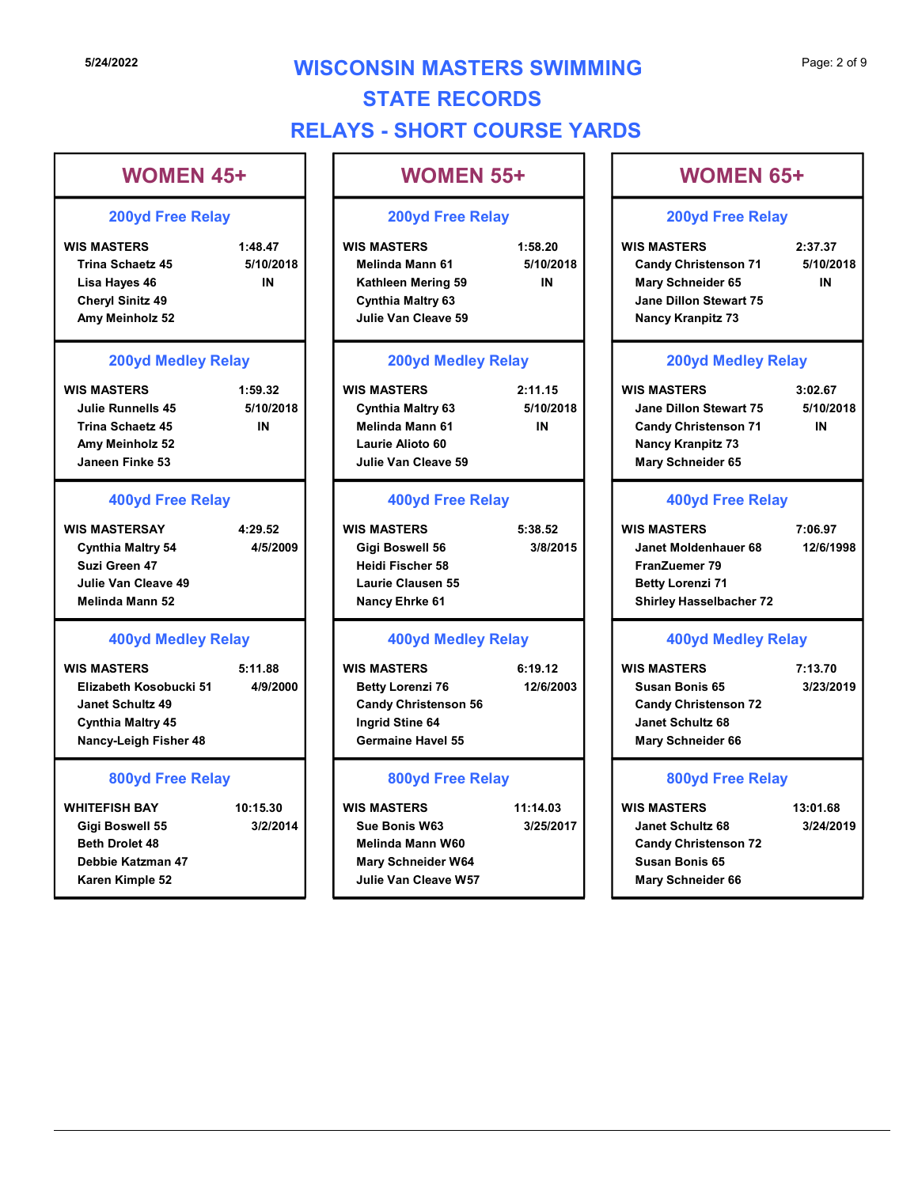# 5/24/2022 **WISCONSIN MASTERS SWIMMING** Page: 2 of 9 STATE RECORDS RELAYS - SHORT COURSE YARDS

# WOMEN 45+ SI24/2022<br>
WISCONSIN MASTERS SWIMMING<br>
STATE RECORDS<br>
WOMEN 45+<br>
200yd Free Relay<br>
WISCONSIN MASTERS SWIMMING<br>
WOMEN 55+<br>
200yd Free Relay<br>
200yd Free Relay<br>
WISCONSIN MASTERS SWIMMING<br>
WOMEN 55+<br>
200yd Free Relay<br>
200yd F Trina Schaetz 45 5/10/2018 | Melinda Mann 61 5/10/2018 Lisa Hayes 46 Cheryl Sinitz 49 Amy Meinholz 52 **Amy Meinholz 52** and the Using Service of the Using Service of the Using Service of the Using Se 5/24/2022<br>
STATE RECORDS<br>
WOMEN 45+<br>
200yd Free Relay<br>
WOMEN 45+<br>
200yd Free Relay<br>
WOMEN 45+<br>
200yd Free Relay<br>
WES MASTERS SWIMMING<br>
WOMEN 45+<br>
200yd Free Relay<br>
Trins Schacet 45<br>
Star Hays Star (Star)<br>
Maring Some Clea Julie Runnells 45 5/10/2018 Trina Schaetz 45 IN Melinda Mann 61 Amy Meinholz 52 Janeen Finke 53 WIS MASTERS<br>
200yd Free Relay<br>
WIS MASTERS<br>
Lisa Hayes 46<br>
Cheryl Sinitz 49<br>
Amy Melninols 52<br>
200yd Medley Relay<br>
MIS MASTERS<br>
Lisa Hayes 46<br>
Cheryl Sinitz 49<br>
Amy Melninols 52<br>
200yd Medley Relay<br>
200yd Medley Relay<br>
400 Cynthia Maltry 54 4/5/2009 Suzi Green 47 Julie Van Cleave 49 Melinda Mann 52 Use Hayes 46<br>
Cheryl Sinitz 49<br>
Cheryl Sinitz 49<br>
200yd Medley Relay<br>
200yd Medley Relay<br>
200yd Medley Relay<br>
WIS MASTERS<br>
Julie Runnellis 45<br>
Amy Meinholt 52<br>
200yd Medley Relay<br>
WIS MASTERS<br>
400yd Free Relay<br>
400yd Free Elizabeth Kosobucki 51 4/9/2000 Janet Schultz 49 Cynthia Maltry 45 Nancy-Leigh Fisher 48 Trina Schaetz 45<br>
May Melnhot 52<br>
Julie Van Cleave 61<br>
May Rece Relay<br>
WIS MASTERSAY<br>
WIS MASTERSAY<br>
USE ALORS AND THE SISSES CONTINUES AND THE STRAINE SAND CONDUCITIES<br>
Julie Van Cleave 49<br>
Julie Van Cleave 49<br>
Julie Van Gigi Boswell 55 3/2/2014 Sue Bonis W63 3/25/2017 Beth Drolet 48 Debbie Katzman 47 200yd Free Relay 200yd Medley Relay 400yd Free Relay 400yd Medley Relay 800yd Free Relay IN Kathleen Mering 59 WOMEN 55+ Cynthia Maltry 63 Laurie Alioto 60 Julie Van Cleave 59 Heidi Fischer 58 Laurie Clausen 55 Nancy Ehrke 61 Candy Christenson 56 Ingrid Stine 64 Germaine Havel 55 Melinda Mann W60 200yd Free Relay 200yd Medley Relay 400yd Free Relay 400yd Medley Relay 800yd Free Relay

Karen Kimple 52 **Mars 19 Access 12 Access 12 Access** Julie Van Cleave W57 Mary Schneider W64

# CONSIN MASTERS SWIMMING<br>
STATE RECORDS<br>
VS - SHORT COURSE YARDS<br>
WOMEN 55+<br>
200yd Free Relay<br>
Mis Masters<br>
Melinda Mann 61<br>
Kathleon Mering 59<br>
Cynthia Maltry 63<br>
Julie Van Cleave 59<br>
Melinda Mann 61<br>
Cynthia Maltry 63<br>
Ju Melinda Mann 61 5/10/2018 Candy Christenson 71 5/10/2018 Julie Van Cleave 59 Nancy Kranpitz 73 CONSIN MASTERS SWIMMING<br>
STATE RECORDS<br>
WS - SHORT COURSE YARDS<br>
WOMEN 55+<br>
200yd Free Relay<br>
200yd Free Relay<br>
200yd Free Relay<br>
200yd Free Relay<br>
200yd Free Relay<br>
200yd Free Relay<br>
200yd Free Relay<br>
200yd Free Relay<br>
20 Cynthia Maltry 63 5/10/2018 Jane Dillon Stewart 75 5/10/2018 WIS MASTERS<br>
WIS MASTERS 1.68.20<br>
WIS MASTERS 1.68.20<br>
WIS MASTERS 2.37.37<br>
Condition Mering 59<br>
Conthis Matriy 63<br>
Condition Mering S9<br>
Contains Matriy 63<br>
200yd Medley Relay<br>
WIS MASTERS 2.11.15<br>
200yd Medley Relay<br>
WIS Gigi Boswell 56 3/8/2015 Janet Moldenhauer 68 12/6/1998 Xathien Mering 59<br>
200yd Medley Relay<br>
200yd Medley Relay<br>
WIS MASTERS<br>
WIS MASTERS<br>
WIS MASTERS<br>
WIS MASTERS<br>
WIS MASTERS<br>
400yd Free Relay<br>
200yd Medley Relay<br>
200yd Medley Relay<br>
200yd Medley Relay<br>
200yd Medley Relay<br> Betty Lorenzi 76 12/6/2003 | Susan Bonis 65 3/23/2019 Melinda Mann 61<br>
Laurie Valorice 60<br>
Julie Van Cleave 59<br>
400yd Free Relay<br>
WIS MASTERS<br>
WIS MASTERS<br>
Nany Schneider 65<br>
Heidi Isebevell 56<br>
Heidi Isebevell 56<br>
Heidi Isebevell 56<br>
Heidi Isebevel 56<br>
Heidi Isebevel 56<br>
Hei Sue Bonis W63 3/25/2017 Janet Schultz 68 3/24/2019 Julie Van Cleave W57 Mary Schneider 66 IN | Mary Schneider 65 IN | IN Candy Christenson 71 WOMEN 65+ Page: 2 of 9<br>
WOMEN 65+<br>
200yd Free Relay<br>
WIS MASTERS 2:37.37<br>
Candy Christenson 71 5/10/2018<br>
Mary Schneider 65 IN<br>
Jane Dillon Stewart 75<br>
Nancy Kranpitz 73 Jane Dillon Stewart 75 Page: 2 of 9<br>
MOMEN 65+<br>
200yd Free Relay<br>
WIS MASTERS 2:37.37<br>
Candy Christenson 71 5/10/2018<br>
Mary Schneider 65 In Mancy Kranpitz 73<br>
200yd Medley Relay<br>
WIS MASTERS 3:02.67<br>
Jane Dillon Stewart 75 5/10/2018<br>
Candy Chris Nancy Kranpitz 73 Mary Schneider 65 WOMEN 65+<br>
200yd Free Relay<br>
WIS MASTERS 2:37.37<br>
Candy Christenson 71 5/10/2018<br>
Mary Schneider 65 IN<br>
Jane Dillon Stewart 75<br>
Nancy Kranpitz 73<br>
200yd Medley Relay<br>
WIS MASTERS 3:02.67<br>
Jane Dillon Stewart 75 5/10/2018<br> FranZuemer 79 Betty Lorenzi 71 Shirley Hasselbacher 72 Mary Schneider 65<br>
Jane Dillon Stewart 75<br>
Nancy Kranpitz 73<br>
200yd Medley Relay<br>
WIS MASTERS 3:02.67<br>
Jane Dillon Stewart 75 5/10/2018<br>
Candy Christenson 71 IN<br>
Nancy Kranpitz 73<br>
Mary Schneider 65<br>
400yd Free Relay<br>
WIS Susan Bonis 65 Candy Christenson 72 Janet Schultz 68 Mary Schneider 66 Candy Christenson 71<br>
Nancy Kranpitz 73<br>
Mary Schneider 65<br>
400yd Free Relay<br>
WIS MASTERS 7:06.97<br>
Janet Moldenhauer 68 12/6/1998<br>
FranZuemer 79<br>
Betty Lorenzi 71<br>
Shirley Hasselbacher 72<br>
400yd Medley Relay<br>
WIS MASTERS 7 Candy Christenson 72 Susan Bonis 65 200yd Free Relay 200yd Medley Relay 400yd Free Relay 400yd Medley Relay 800yd Free Relay IN IN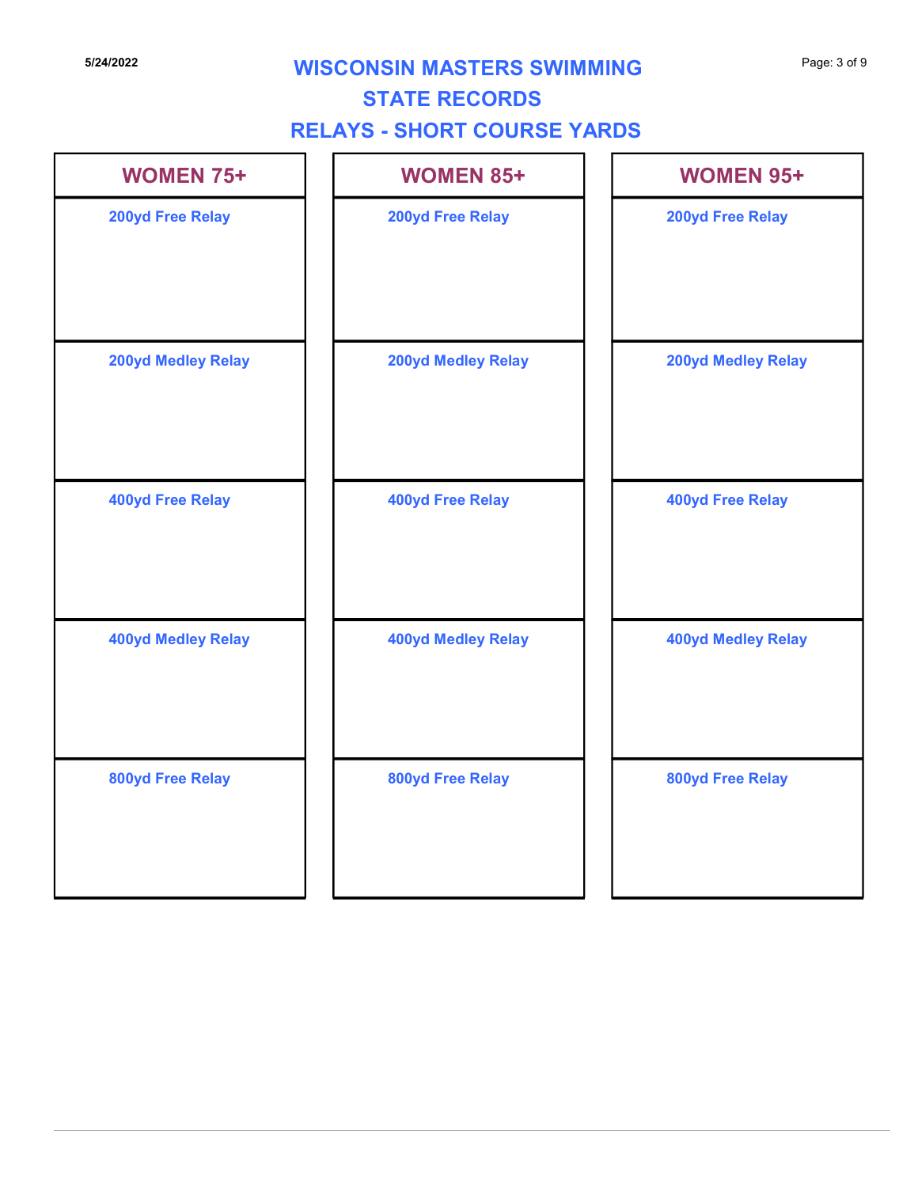# **5/24/2022** Page: 3 of 9 **WISCONSIN MASTERS SWIMMING**

## STATE RECORDS

# RELAYS - SHORT COURSE YARDS

| <b>WOMEN 75+</b>          | <b>WOMEN 85+</b>          | <b>WOMEN 95+</b>          |
|---------------------------|---------------------------|---------------------------|
| 200yd Free Relay          | 200yd Free Relay          | 200yd Free Relay          |
| <b>200yd Medley Relay</b> | <b>200yd Medley Relay</b> | <b>200yd Medley Relay</b> |
| 400yd Free Relay          | 400yd Free Relay          | <b>400yd Free Relay</b>   |
| <b>400yd Medley Relay</b> | <b>400yd Medley Relay</b> | <b>400yd Medley Relay</b> |
| 800yd Free Relay          | 800yd Free Relay          | 800yd Free Relay          |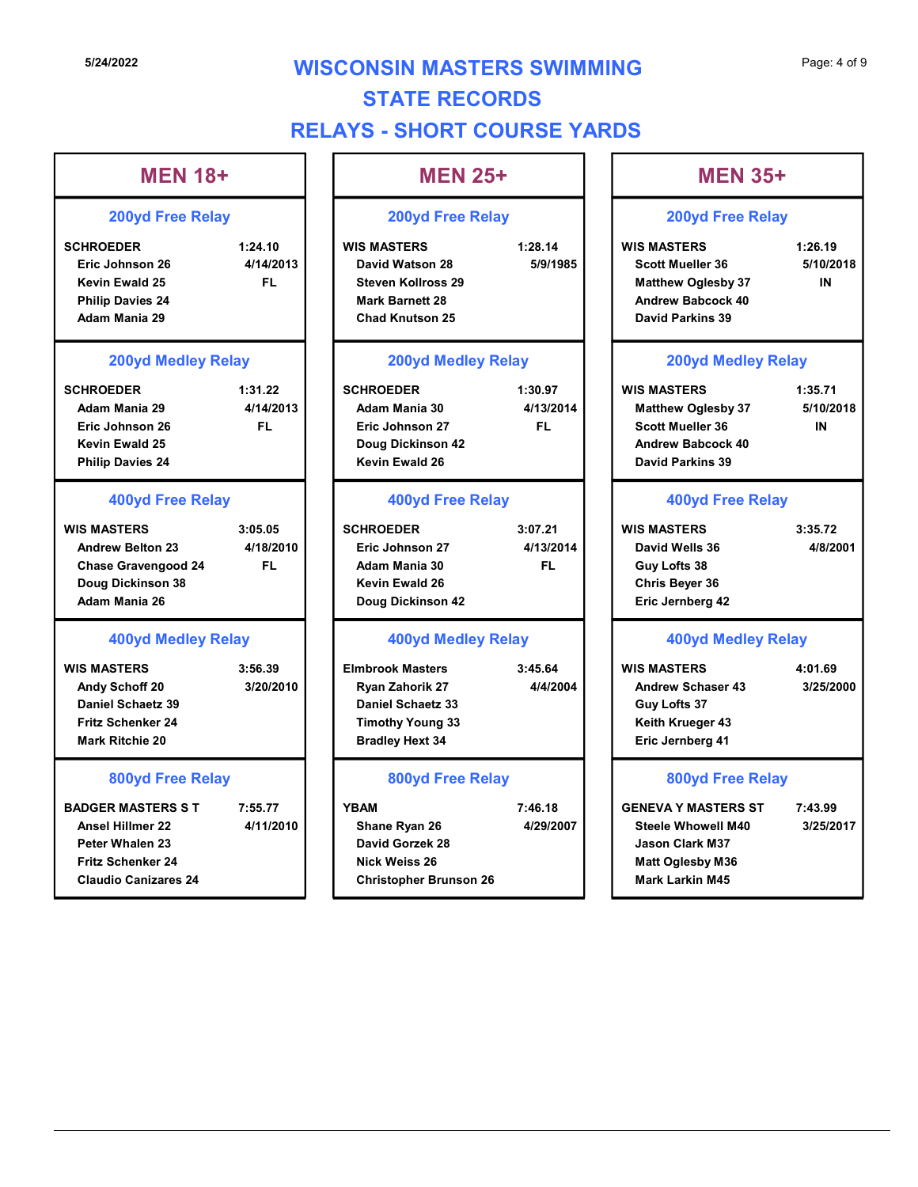# **5/24/2022 WISCONSIN MASTERS SWIMMING** Page: 4 of 9 STATE RECORDS RELAYS - SHORT COURSE YARDS

IN

IN

#### MEN 18+ SCAUSIN MASTERS SWIMMING<br>
STATE RECORDS<br>
RELAYS - SHORT COURSE YARDS<br>
MEN 18+<br>
200yd Free Relay<br>
SCHROEDER<br>
FIG Johnson 26<br>
Kevin Ewald 25<br>
Philip Davies 24<br>
Adam Mania 29<br>
Adam Mania 29<br>
Adam Mania 29<br>
Adam Mania 29 Eric Johnson 26 4/14/2013 David Watson 28 5/9/1985 Kevin Ewald 25 Philip Davies 24 Adam Mania 29 SCHROEDER<br>
MEN 18<br>
SCHROEDER MANING<br>
SCHROEDER MANING<br>
SCHROEDER MANING<br>
SCHROEDER MANING<br>
SCHROEDER MANING<br>
SCHROEDER MANING 200yd Free Relay<br>
MEN 25+<br>
Revin Ewald 25<br>
MEN 18+<br>
MEN 25+<br>
200yd Free Relay<br>
MEN 25+<br>
200yd Fr Adam Mania 29 4/14/2013 | Adam Mania 30 4/13/2014 Eric Johnson 26 Kevin Ewald 25 Philip Davies 24 MEN 18+<br>
200yd Free Relay<br>
SCHROEDER 1:24.10<br>
Eric Johnson 26<br>
Miss MASTERS 1:26.14<br>
Eric Johnson 26<br>
Eric Johnson 26<br>
Eric Johnson 26<br>
Eric Johnson 26<br>
Eric Johnson 26<br>
Eric Johnson 26<br>
Millip Davis 24<br>
Adam Mania 29<br>
SCH Andrew Belton 23 4/18/2010 Chase Gravengood 24 Doug Dickinson 38 and 26 Adam Mania 26 Nevin Ewald 25<br>
New Smooth Colores and Maria 29<br>
Philip Davies 24<br>
Andrew Babcoc David Meddley Relay<br>
SCHROEDER<br>
Adam Mania 29<br>
SCHROEDER<br>
Adam Mania 30<br>
SCHROEDER<br>
Fig. Johnson 27<br>
Nevin Ewald 25<br>
Philip Davies 24<br>
400yd Andy Schoff 20 3/20/2010 | Ryan Zahorik 27 4/4/2004 Daniel Schaetz 39 Fritz Schenker 24 Mark Ritchie 20 Eric Johnson 28<br>
Newin Ewalt 25<br>
Philip Davies 24<br>
Philip Davies 24<br>
Mas MASTERS 3:05.05<br>
SCHIROEDER Andrew Belton 23<br>
Chane Belton 23<br>
Chane Belton 23<br>
Chane Belton 23<br>
Chane Belton 23<br>
Chane Man Mania 26<br>
Chane Man Mani Ansel Hillmer 22 **4/11/2010** Shane Ryan 26 4/29/2007 Peter Whalen 23 Fritz Schenker 24 Claudio Canizares 24 Christopher Brunson 26 200yd Free Relay 200yd Medley Relay 400yd Free Relay 400yd Medley Relay 800yd Free Relay FL Steven Kollross 29 Eric Johnson 27 FL FL Adam Mania 30 MEN 25+ CONSIN MASTERS SWIMMING<br>
STATE RECORDS<br>
VS - SHORT COURSE YARDS<br>
MEN 25+<br>
200yd Free Relay<br>
WIS MASTERS<br>
David Watson 28<br>
Steven Kollross 29<br>
Mark Barnett 28<br>
Chad Knutson 25<br>
Chad Knutson 25<br>
Chad Knutson 25<br>
Chad Knutson David Watson 28 5/9/1985 Scott Mueller 36 5/10/2018 Mark Barnett 28 Chad Knutson 25 CONSIN MASTERS SWIMMING<br>
STATE RECORDS<br>
MEN 25+<br>
200yd Free Relay<br>
200yd Free Relay<br>
200yd Free Relay<br>
200yd Free Relay<br>
200yd Free Relay<br>
200yd Free Relay<br>
35 1:26.19<br>
Start Music 28<br>
Start Music 28<br>
Mark Barnett 28<br>
Chad Adam Mania 30 4/13/2014 Matthew Oglesby 37 5/10/2018 Eric Johnson 27 FL Scott Mueller 36 Doug Dickinson 42 Kevin Ewald 26 NEN 25+<br>
200yd Free Relay<br>
WIS MASTERS<br>
David Watson 28<br>
Schem Kolines 29<br>
Mark Barnett 28<br>
Chad Knutson 25<br>
Schem Kolines 29<br>
Mark Barnett 28<br>
Chad Knutson 25<br>
200yd Medley Relay<br>
200yd Medley Relay<br>
200yd Medley Relay<br>
2 Eric Johnson 27 4/13/2014 Kevin Ewald 26 Chris Beyer 36 Doug Dickinson 42 Steven Kollices 29<br>
Matrik 28<br>
Chad Knutsen 28<br>
Chad Knutsen 25<br>
200yd Medley Relay<br>
200yd Medley Relay<br>
200yd Medley Relay<br>
200yd Medley Relay<br>
200yd Medley Relay<br>
200yd Medley Relay<br>
200yd Medley Relay<br>
200yd Medley Rela Ryan Zahorik 27 4/4/2004 Andrew Schaser 43 3/25/2000 Daniel Schaetz 33 Timothy Young 33 Bradley Hext 34 Eric Johnson 27<br>
Doug Dickinson 42<br>
Norder Relay<br>
400yd Free Relay<br>
400yd Free Relay<br>
5:07.21<br>
Eric Johnson 27<br>
Adam Mania 30<br>
Adam Mania 30<br>
Adam Mania 30<br>
Nus Masters<br>
Nus Marsk Viells 36<br>
Doug Dickinson 42<br>
400yd Free R Shane Ryan 26 4/29/2007 Steele Whowell M40 3/25/2017 David Gorzek 28 Nick Weiss 26 200yd Free Relay 200yd Medley Relay 400yd Free Relay 400yd Medley Relay 800yd Free Relay FL Guy Lofts 38 MEN 35+ Page: 4 of 9<br>
MEN 35+<br>
200yd Free Relay<br>
WIS MASTERS 1:26.19<br>
Scott Mueller 36 5/10/2018<br>
Matthew Oglesby 37 IN<br>
Andrew Babcock 40<br>
David Parkins 39 Matthew Oglesby 37 M Andrew Babcock 40 David Parkins 39 Page: 4 of 9<br>
MEN 35+<br>
200yd Free Relay<br>
WIS MASTERS 1:26.19<br>
Scott Mueller 36 5/10/2018<br>
Matthew Oglesby 37 IN<br>
Andrew Babcock 40<br>
David Parkins 39<br>
200yd Medley Relay<br>
WIS MASTERS 1:35.71<br>
Matthew Oglesby 37 5/10/2018<br>
S Andrew Babcock 40 David Parkins 39 MEN 35+<br>
200yd Free Relay<br>
WIS MASTERS 1:26.19<br>
Scott Mueller 36 5/10/2018<br>
Matthew Oglesby 37 IN<br>
Andrew Babcock 40<br>
David Parkins 39<br>
200yd Medley Relay<br>
WIS MASTERS 1:35.71<br>
Matthew Oglesby 37 5/10/2018<br>
Scott Mueller 3 David Wells 36 Eric Jernberg 42 Matthew Oglesby 37<br>
Andrew Babcock 40<br>
David Parkins 39<br>
200yd Medley Relay<br>
WIS MASTERS 1:35.71<br>
Matthew Oglesby 37 5/10/2018<br>
Scott Mueller 36 IN<br>
Andrew Babcock 40<br>
David Parkins 39<br>
400yd Free Relay<br>
WIS MASTERS 3:35.7 Guy Lofts 37 Keith Krueger 43 Eric Jernberg 41 Scott Mueller 36<br>
Andrew Babcock 40<br>
David Parkins 39<br>
400yd Free Relay<br>
WIS MASTERS 3:35.72<br>
David Wells 36<br>
Chris Beyer 36<br>
Eric Jernberg 42<br>
400yd Medley Relay<br>
WIS MASTERS 4:01.69<br>
Andrew Schaser 43<br>
Strich Krueger 43<br> Jason Clark M37 Matt Oglesby M36 Mark Larkin M45 200yd Free Relay 200yd Medley Relay 400yd Free Relay 400yd Medley Relay 800yd Free Relay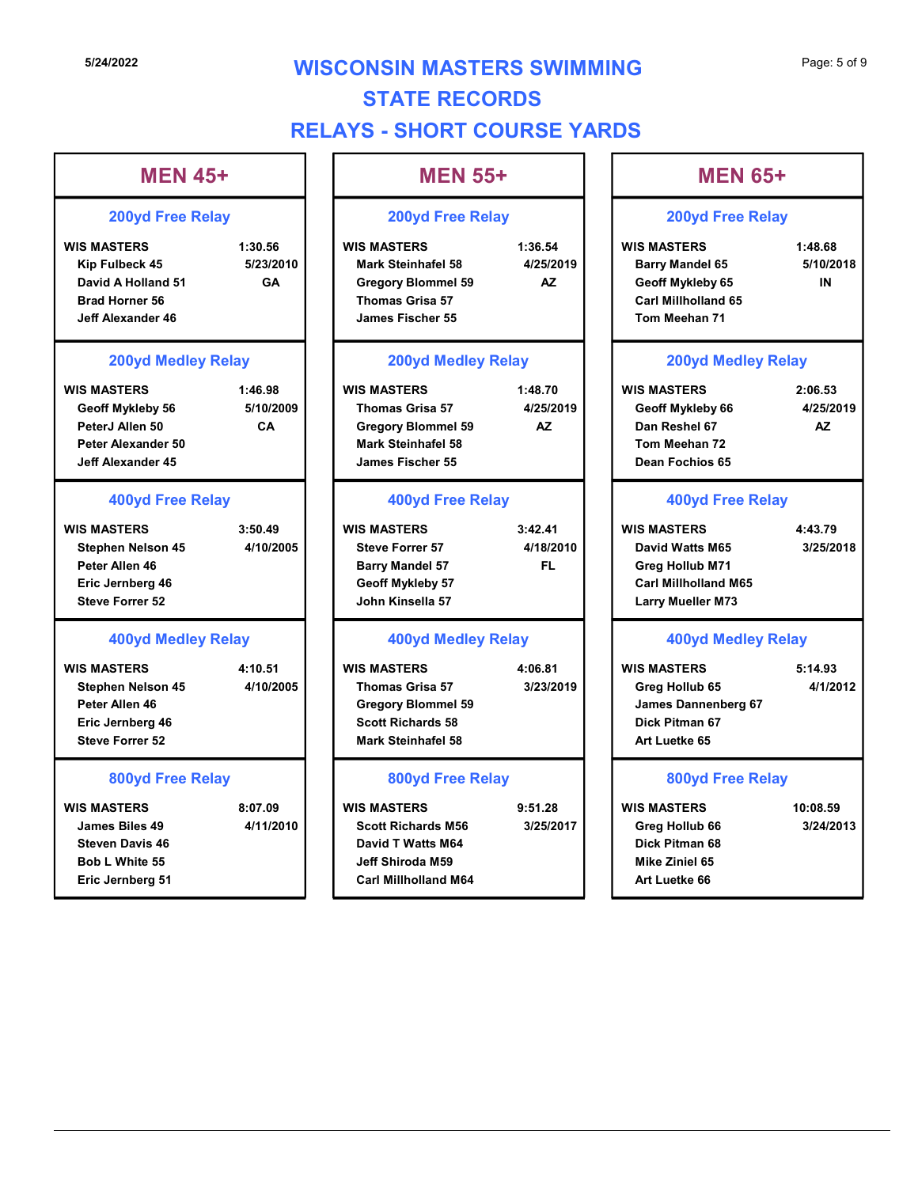# **5/24/2022 WISCONSIN MASTERS SWIMMING** Page: 5 of 9 STATE RECORDS RELAYS - SHORT COURSE YARDS

**Δ7** 

IN

#### MEN 45+  $\vert$  | MEN 55+ SI24/2022<br>
WISCONSIN MASTERS SWIMMING<br>
STATE RECORDS<br>
RELAYS - SHORT COURSE YARDS<br>
MEN 45+<br>
200yd Free Relay<br>
WIS MASTERS<br>
MEN 55+<br>
200yd Free Relay<br>
WIS MASTERS<br>
NEN 55+<br>
200yd Free Relay<br>
200yd Free Relay<br>
WIS MASTERS<br>
2 Kip Fulbeck 45 5/23/2010 | | Mark Steinhafel 58 4/25/2019 | | Barry Mandel 65 5/10/20 David A Holland 51 GA Brad Horner 56 Jeff Alexander 46 5/24/2022<br>
STATE RECORDS<br>
MEN 45+<br>
200yd Free Relay<br>
WISSONSIN MASTERS SWIMMING<br>
RELAYS - SHORT COURSE YARDS<br>
MEN 45+<br>
200yd Free Relay<br>
WISS MASTERS<br>
Kip Fublock 45<br>
Sizar2010<br>
MEN 55+<br>
200yd Free Relay<br>
MEN 55+<br>
200yd F Geoff Mykleby 56 5/10/2009 PeterJ Allen 50 CA Peter Alexander 50 Jeff Alexander 45 MEN 45+<br>
200yd Free Relay<br>
WIS MASTERS<br>
NOW SMASTERS 1:30.56<br>
NOW SMASTERS 1:30.56<br>
NOW SMASTERS 1:30.56<br>
NOW SMASTERS 1:30.56<br>
David A Holland 51<br>
David A Holland 51<br>
David A Holland 51<br>
David A Holland 51<br>
David A Hollan Stephen Nelson 45 4/10/2005 Steve Forrer 57 4/18/2010 Peter Allen 46 Eric Jernberg 46 Geoff Mykleby 57 Steve Forrer 52 Novid Arbitrand 51<br>
Bard Horner 56<br>
Sand Horner 56<br>
200yd Meddley Relay<br>
WIS MASTERS<br>
Carl Millibolland<br>
WIS MASTERS<br>
Carl Millibolland<br>
Notes (Allen 50<br>
Peter Alexander 45<br>
Carl Millibolland<br>
Peter Alexander 45<br>
Carl Mill Stephen Nelson 45 4/10/2005 Thomas Grisa 57 3/23/2019 Peter Allen 46 Eric Jernberg 46 Steve Forrer 52 Peter Alexander 45<br>
Jent Alexander 45<br>
Jent Alexander 45<br>
Jent Alexander 45<br>
Jent Alexander 45<br>
Jent Alexander 45<br>
MIS MASTERS<br>
Stephen Nelson 45<br>
Eric Jenn Meshan 72<br>
Stephen Nelson 45<br>
Steve Force Railay<br>
MIS MASTERS<br>
S James Biles 49 4/11/2010 | | Scott Richards M56 3/25/2017 | | Greg Hollub 66 3/24/20 Steven Davis 46 Bob L White 55 Eric Jernberg 51 200yd Free Relay 200yd Medley Relay 400yd Free Relay 400yd Medley Relay 800yd Free Relay GA | | Gregory Blommel 59 AZ | | Geoff Mykleby 65 CA Gregory Blommel 59 MEN 55+ MEN 65+ CONSIN MASTERS SWIMMING<br>
STATE RECORDS<br>
VS - SHORT COURSE YARDS<br>
MEN 55+<br>
200yd Free Relay<br>
WIS MASTERS<br>
Mark Steinhafel 58<br>
Cergory Blommel 59<br>
Thomas Grisa 57<br>
James Fischer 55<br>
Mark Steinhafel 58<br>
Thomas Grisa 57<br>
James Thomas Grisa 57 James Fischer 55 CONSIN MASTERS SWIMMING<br>
STATE RECORDS<br>
WS - SHORT COURSE YARDS<br>
MEN 55+<br>
200yd Free Relay<br>
WIS MASTERS<br>
MEN 65+<br>
200yd Free Relay<br>
WIS MASTERS<br>
Grogory Blommel 59<br>
Thomas Grisa 57<br>
200yd Medley Relay<br>
200yd Medley Relay<br> Thomas Grisa 57 4/25/2019 Geoff Mykleby 66 4/25/2019 Mark Steinhafel 58 James Fischer 55 WIS MASTERS<br>
WIS MARTERS 1:36.54<br>
Mark Steinhafel 58<br>
Thomas Griss 57<br>
200yd Medley Relay<br>
Thomas Griss 57<br>
200yd Medley Relay<br>
WIS MASTERS 1:48.68<br>
Thomas Griss 67<br>
200yd Medley Relay<br>
WIS MASTERS 1:48.70<br>
200yd Medley Re Steve Forrer 57 4/18/2010 David Watts M65 3/25/2018 Barry Mandel 57 John Kinsella 57 Gregory Blommel 59<br>
1.48.70<br>
WIS MASTERS<br>
WIS MASTERS<br>
WIS MASTERS<br>
WIS MASTERS<br>
WIS MASTERS<br>
MARK Steinhaftel 58<br>
ATTER Stave Forer 57<br>
2.00yd Medley Relay<br>
WIS MASTERS<br>
400yd Free Relay<br>
WIS MASTERS<br>
Stave Forer 57<br>
4148 Thomas Grisa 57 3/23/2019 | Greg Hollub 65 4/1/2012 Gregory Blommel 59 Scott Richards 58 Mark Steinhafel 58 Gregory Blommel 59<br>
Mark Steinhafel 58<br>
Mark Steinhafel 58<br>
400yd Free Relay<br>
WIS MASTERS<br>
MARISMENT STREAM States of Mykleby 57<br>
John Kinsella 57<br>
John Kinsella 57<br>
400yd Medley Relay<br>
WIS MASTERS<br>
400yd Medley Relay<br>
MIS David T Watts M64 Jeff Shiroda M59 Carl Millholland M64 200yd Free Relay 200yd Medley Relay 400yd Free Relay 400yd Medley Relay 800yd Free Relay AZ Geoff Mykleby 65 AZ Dan Reshel 67 FL Greg Hollub M71 Page: 5 of 9<br>
MEN 65+<br>
200yd Free Relay<br>
WIS MASTERS 1:48.68<br>
Barry Mandel 65 5/10/2018<br>
Geoff Mykleby 65 IN<br>
Carl Millholland 65<br>
Tom Meehan 71 Barry Mandel 65 5/10/2018 Carl Millholland 65 Tom Meehan 71 Page: 5 of 9<br>
MEN 65+<br>
200yd Free Relay<br>
WIS MASTERS 1:48.68<br>
Barry Mandel 65 5/10/2018<br>
Geoff Mykleby 65 carl Millholland 65<br>
Tom Meehan 71<br>
200yd Medley Relay<br>
WIS MASTERS 2:06.53<br>
Geoff Mykleby 66 4/25/2019<br>
Dan Reshel Tom Meehan 72 Dean Fochios 65 MEN 65+<br>
200yd Free Relay<br>
WIS MASTERS 1:48.68<br>
Barry Mandel 65 5/10/2018<br>
Geoff Mykleby 65 IN<br>
Carl Millholland 65<br>
Tom Meehan 71<br>
200yd Medley Relay<br>
WIS MASTERS 2:06.53<br>
Geoff Mykleby 66 4/25/2019<br>
Dan Reshel 67 AZ<br>
Tom Carl Millholland M65 Larry Mueller M73 Geoff Mykleby 65<br>
Carl Millholland 65<br>
Tom Meehan 71<br>
200yd Medley Relay<br>
WIS MASTERS 2:06.53<br>
Geoff Mykleby 66 4/25/2019<br>
Dan Reshel 67 AZ<br>
Tom Meehan 72<br>
Dean Fochios 65<br>
400yd Free Relay<br>
WIS MASTERS 4:43.79<br>
David Watt Greg Hollub 65 James Dannenberg 67 Dick Pitman 67 Art Luetke 65 Dan Reshel 67<br>
Tom Meehan 72<br>
Dean Fochios 65<br>
400yd Free Relay<br>
WIS MASTERS 4:43.79<br>
David Watts M65 3/25/2018<br>
Greg Hollub M71<br>
Carl Millholland M65<br>
Larry Mueller M73<br>
400yd Medley Relay<br>
WIS MASTERS 5:14.93<br>
Greg Hollu Greg Hollub 66 3/24/2013 Dick Pitman 68 Mike Ziniel 65 Art Luetke 66 200yd Free Relay 200yd Medley Relay 400yd Free Relay 400yd Medley Relay 800yd Free Relay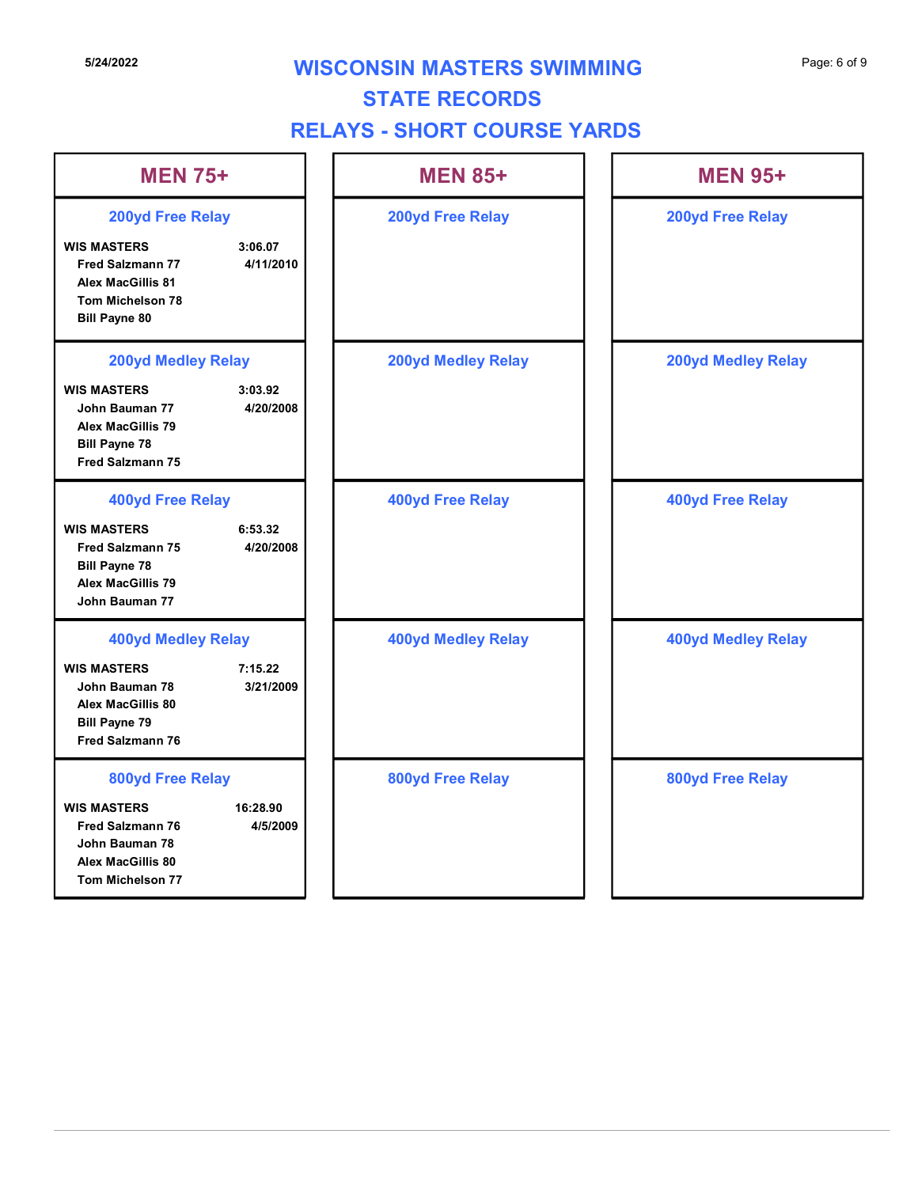# **5/24/2022 WISCONSIN MASTERS SWIMMING** Page: 6 of 9

# STATE RECORDS

# RELAYS - SHORT COURSE YARDS

|                                                                                                                                    |                      | <b>STATE RECORDS</b><br><b>RELAYS - SHORT COURSE YARDS</b> |                           |
|------------------------------------------------------------------------------------------------------------------------------------|----------------------|------------------------------------------------------------|---------------------------|
| <b>MEN 75+</b>                                                                                                                     |                      | <b>MEN 85+</b>                                             | <b>MEN 95+</b>            |
| <b>200yd Free Relay</b>                                                                                                            |                      | 200yd Free Relay                                           | 200yd Free Relay          |
| <b>WIS MASTERS</b><br><b>Fred Salzmann 77</b><br><b>Alex MacGillis 81</b><br>Tom Michelson 78<br><b>Bill Payne 80</b>              | 3:06.07<br>4/11/2010 |                                                            |                           |
| <b>200yd Medley Relay</b>                                                                                                          |                      | <b>200yd Medley Relay</b>                                  | <b>200yd Medley Relay</b> |
| <b>WIS MASTERS</b><br>John Bauman 77<br><b>Alex MacGillis 79</b><br><b>Bill Payne 78</b><br><b>Fred Salzmann 75</b>                | 3:03.92<br>4/20/2008 |                                                            |                           |
| <b>400yd Free Relay</b>                                                                                                            |                      | <b>400yd Free Relay</b>                                    | <b>400yd Free Relay</b>   |
| <b>WIS MASTERS</b><br><b>Fred Salzmann 75</b><br><b>Bill Payne 78</b><br><b>Alex MacGillis 79</b><br>John Bauman 77                | 6:53.32<br>4/20/2008 |                                                            |                           |
| <b>400yd Medley Relay</b><br><b>WIS MASTERS</b><br>John Bauman 78<br>Alex MacGillis 80<br><b>Bill Payne 79</b><br>Fred Salzmann 76 | 7:15.22<br>3/21/2009 | <b>400yd Medley Relay</b>                                  | <b>400yd Medley Relay</b> |
| 800yd Free Relay<br><b>WIS MASTERS</b><br><b>Fred Salzmann 76</b><br>John Bauman 78<br>Alex MacGillis 80<br>Tom Michelson 77       | 16:28.90<br>4/5/2009 | 800yd Free Relay                                           | 800yd Free Relay          |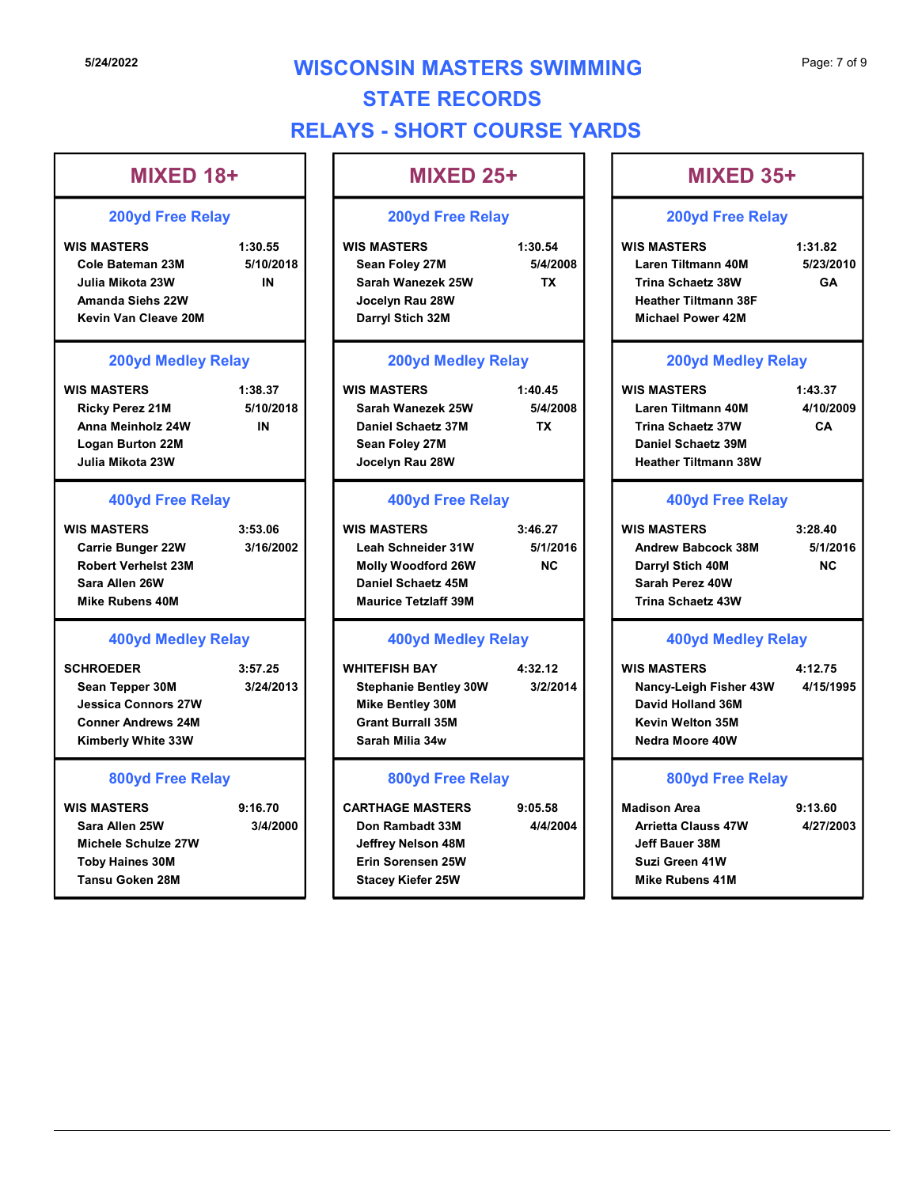# **5/24/2022 WISCONSIN MASTERS SWIMMING** Page: 7 of 9 STATE RECORDS RELAYS - SHORT COURSE YARDS CONSIN MASTERS SWIMMING<br>
STATE RECORDS<br>
WS - SHORT COURSE YARDS<br>
MIXED 25+<br>
200yd Free Relay<br>
WIS MASTERS<br>
Sean Foley 27M<br>
Strah Wanezek 25W<br>
Sean Foley 27M<br>
Strah Wanezek 25W<br>
Jocelyn Rau 28W<br>
Darryl Stich 32M<br>
Darryl St

TX | Trina Schaetz 38W GA |

GA POSTAGA POLITICA E PORTUGALE E PORTUGALE E PORTUGALE E PORTUGALE E PORTUGALE E PORTUGALE E PORTUGALE E PORT

CA |

# MIXED 18+ The MIXED 25+ S/24/2022<br>
WISCONSIN MASTERS SWIMMING<br>
STATE RECORDS<br>
RELAYS - SHORT COURSE YARDS<br>
MIXED 18+<br>
200yd Free Relay<br>
WIS MASTERS<br>
200yd Free Relay<br>
WIS MASTERS<br>
200yd Free Relay<br>
WIS MASTERS<br>
200yd Free Relay<br>
200yd Free Relay<br> Cole Bateman 23M 5/10/2018 Sean Foley 27M 5/4/2008 Julia Mikota 23W IN | | Sarah Wanezek 25W TX | | Trina Schaetz 38W GA | Amanda Siehs 22W Kevin Van Cleave 20M S/24/2022<br>
S/24/2022<br>
WISCONSIN MASTERS SWIMMING<br>
INXED 18+<br>
200yd Free Relay<br>
WISKERS<br>
WISKERS<br>
WISKERS<br>
Cole Baterman 23M<br>
Cole Baterman 23M<br>
S/4/2003<br>
S/300 Micha 23W<br>
Note 220 Micha 22W<br>
Are in the S/2004<br>
Micha 22W<br>
A Ricky Perez 21M 5/10/2018 Anna Meinholz 24W Logan Burton 22M Julia Mikota 23W MIXED 18+<br>
200yd Free Relay<br>
200yd Free Relay<br>
Cole Stateman 23M<br>
Cole Stateman 23M<br>
Cole Stateman 23M<br>
Cole Stateman 23W<br>
Cole Stateman 23W<br>
Amand Siehs 22W<br>
Nus MASTERS<br>
Cole Stateman 24 Start Mercet 25W<br>
Cole Stateman Carrie Bunger 22W 3/16/2002 | Leah Schneider 31W 5/1/2016 Robert Verhelst 23M Sara Allen 26W Mike Rubens 40M Unia Mikola 23W<br>
Amanda Siehs 22W<br>
Amanda Siehs 22W<br>
Nexturn Van Cleave 20M<br>
200yd Meddley Relay<br>
200yd Meddley Relay<br>
200yd Meddley Relay<br>
200yd Meddley Relay<br>
200yd Meddley Relay<br>
MIS MASTERS<br>
Ricky Perez 21M<br>
Logan B Sean Tepper 30M 3/24/2013 | Stephanie Bentley 30W 3/2/2014 Jessica Connors 27W Conner Andrews 24M **Conner Andrews 24M Conner Andrews 24M** Kimberly White 33W <br>
H Sarah Milia 34w Mana Meinhotz 24W<br>
Jonal Burdon 22M<br>
Jonal Burdon 22W<br>
Jonal Burdon 22W<br>
Jonaly Reaz 28W<br>
MIS MASTERS<br>
Carrie Burger 22W<br>
WIS MASTERS<br>
Carrie Burger 22W<br>
MIS MASTERS<br>
Star Alien 23M<br>
Mis Rubbens 40M<br>
Mis Rubbens 40M<br>
Mis R Sara Allen 25W 3/4/2000 | Don Rambadt 33M 4/4/2004 Michele Schulze 27W 200yd Free Relay 200yd Medley Relay 400yd Free Relay 400yd Free Relay 400yd Medley Relay 800yd Free Relay

#### 200yd Free Relay

Sean Foley 27M 5/4/2008 Laren Tiltmann 40M 5/23/2010 Jocelyn Rau 28W Heather Tiltmann 38F Darryl Stich 32M

#### 200yd Medley Relay

| 8.37    | <b>WIS MASTERS</b> | 1:40.45  |  |
|---------|--------------------|----------|--|
| 10/2018 | Sarah Wanezek 25W  | 5/4/2008 |  |
| IN      | Daniel Schaetz 37M | тχ       |  |
|         | Sean Foley 27M     |          |  |
|         | Jocelyn Rau 28W    |          |  |

| WIS MASTERS                 | 3:46.27  |
|-----------------------------|----------|
| Leah Schneider 31W          | 5/1/2010 |
| <b>Molly Woodford 26W</b>   | NC.      |
| Daniel Schaetz 45M          |          |
| <b>Maurice Tetzlaff 39M</b> |          |

#### 800yd Free Relay

- Toby Haines 30M Erin Sorensen 25W Tansu Goken 28M Stacey Kiefer 25W Jeffrey Nelson 48M
- CONSIN MASTERS SWIMMING<br>
STATE RECORDS<br>
MIXED 25+<br>
200yd Free Relay<br>
200yd Free Relay<br>
200yd Free Relay<br>
200yd Free Relay<br>
200yd Free Relay<br>
354-<br>
200yd Mediev 27M<br>
Sarah Wanzek 23W<br>
Jocelyn Rau 28W<br>
200yd Medley Relay<br>
2 Sarah Wanezek 25W 5/4/2008 Laren Tiltmann 40M 4/10/2009 Daniel Schaetz 37M TX Trina Schaetz 37W Sean Foley 27M Daniel Schaetz 39M Jocelyn Rau 28W Heather Tiltmann 38W MIXED 25+<br>
200yd Free Relay<br>
WIS MASTERS<br>
Sean Foley 27M<br>
Jocelyn Rau 28W<br>
Darah Wanced 28W<br>
Darah Wanced 28W<br>
Sean Foley 27M<br>
3:44/2008<br>
Jocelyn Rau 28W<br>
MIS MASTERS<br>
Sean Foley 27M<br>
200yd Meddley Relay<br>
Michael Power 42M Leah Schneider 31W 5/1/2016 Andrew Babcock 38M 5/1/2016 Molly Woodford 26W NC Darryl Stich 40M Daniel Schaetz 45M Sarah Perez 40W Maurice Tetzlaff 39M Trina Schaetz 43W Sarah Wanexek 25W<br>
Doctyn Rau 28W<br>
Darryl Stich 32M<br>
Mexilens Marchar Tiltmann 38F<br>
Nichael Power 42M<br>
Wis MASTERS<br>
Sarah Wanexek 25W<br>
Sarah Wanexek 25W<br>
Sarah Wanexek 25W<br>
Jocelyn Rau 28W<br>
400yd Free Relay<br>
Mexilens Schee Stephanie Bentley 30W 3/2/2014 Nancy-Leigh Fisher 43W 4/15/1995 Mike Bentley 30M David Holland 36M Grant Burrall 35M Kevin Welton 35M Sarah Milia 34w Nedra Moore 40W Daniel Schack 23M<br>
Sean Foley 27M<br>
Jocelyn Rau 28W<br>
400yd Free Relay<br>
WIS MASTERS<br>
WAS HAGENER SCALE (1993)<br>
WIS MASTERS<br>
Molen Schack 45M<br>
Maurice Tetzlaff 39M<br>
Murice Tetzlaff 39M<br>
400yd Medley Relay<br>
Murice Tetzlaff 39M Don Rambadt 33M 4/4/2004 Arrietta Clauss 47W 4/27/2003 Page: 7 of 9<br>
MIXED 35+<br>
200yd Free Relay<br>
WIS MASTERS 1:31.82<br>
Laren Tiltmann 40M 5/23/2010<br>
Trina Schaetz 38W GA<br>
Heather Tiltmann 38F<br>
Michael Power 42M Michael Power 42M Page: 7 of 9<br>
MIXED 35+<br>
200yd Free Relay<br>
WIS MASTERS 1:31.82<br>
Laren Tiltmann 40M 5/23/2010<br>
Trina Schaetz 38W<br>
Heather Tiltmann 38F<br>
Michael Power 42M<br>
200yd Medley Relay<br>
WIS MASTERS 1:43.37<br>
Laren Tiltmann 40M 4/10/200 MIXED 35+<br>
200yd Free Relay<br>
WIS MASTERS 1:31.82<br>
Laren Tiltmann 40M 5/23/2010<br>
Trina Schaetz 38W GA<br>
Heather Tiltmann 38F<br>
Michael Power 42M<br>
200yd Medley Relay<br>
WIS MASTERS 1:43.37<br>
Laren Tiltmann 40M 4/10/2009<br>
Trina Sc Trina Schaetz 38W<br>
Heather Tiltmann 38F<br>
Michael Power 42M<br>
200yd Medley Relay<br>
WIS MASTERS 1:43.37<br>
Laren Tiltmann 40M 4/10/2009<br>
Trina Schaetz 37W CA<br>
Daniel Schaetz 39M<br>
Heather Tiltmann 38W<br>
400yd Free Relay<br>
WIS MASTE Trina Schaetz 37W<br>
CA<br>
Daniel Schaetz 39M<br>
Heather Tiltmann 38W<br>
400yd Free Relay<br>
WIS MASTERS 3:28.40<br>
Andrew Babcock 38M 5/1/2016<br>
Darryl Stich 40M<br>
Sarah Perez 40W<br>
Trina Schaetz 43W<br>
400yd Medley Relay<br>
WIS MASTERS 4:1 Jeff Bauer 38M 200yd Medley Relay 400yd Free Relay 400yd Medley Relay 800yd Free Relay

200yd Free Relay

NC

Suzi Green 41W Mike Rubens 41M

# MIXED 25+ MIXED 35+

400yd Medley Relay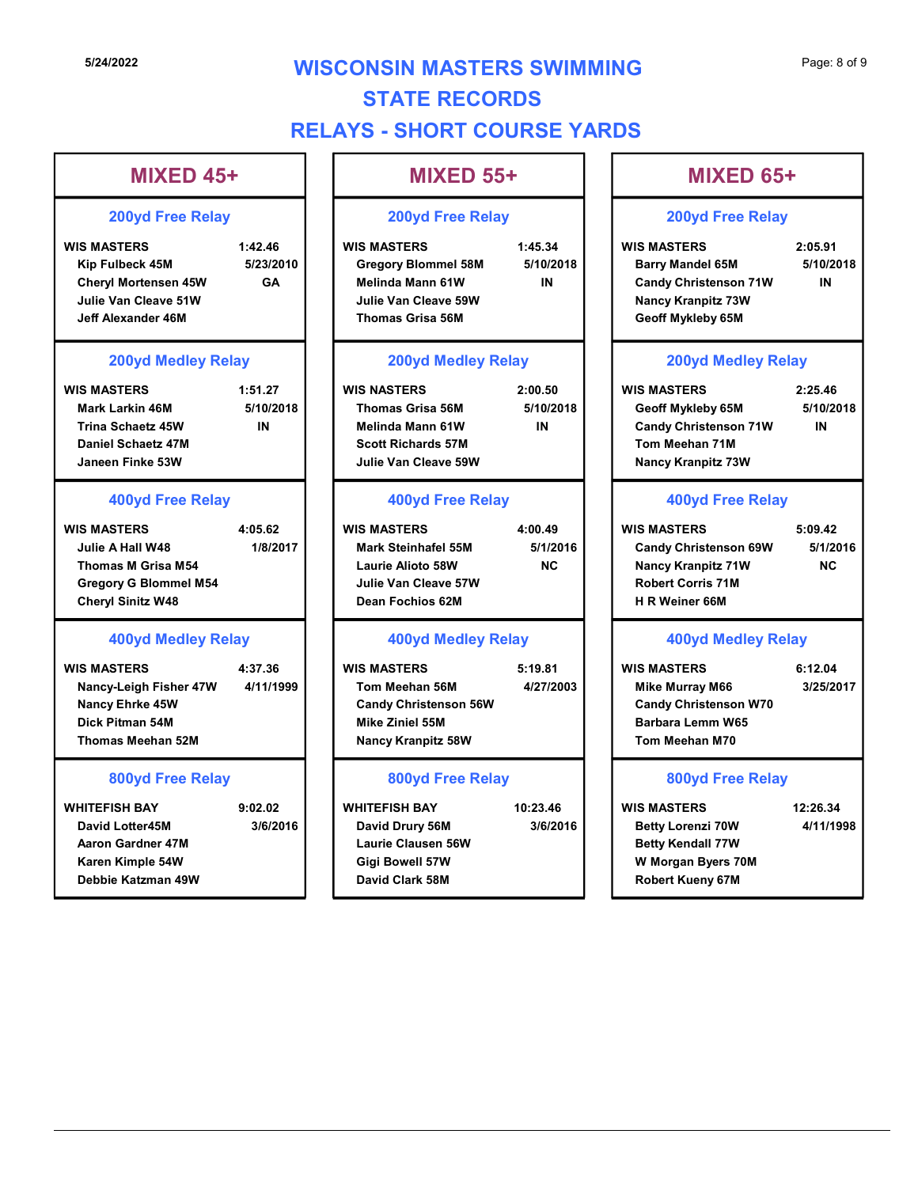# **5/24/2022 WISCONSIN MASTERS SWIMMING** Page: 8 of 9 STATE RECORDS RELAYS - SHORT COURSE YARDS STATE RECORDS<br>
MIXED 45+<br>
200yd Free Relay<br>
WIS MASTERS SWIMMING<br>
MIXED 45+<br>
200yd Free Relay<br>
WIS MASTERS - SHORT COURSE YARDS<br>
MIXED 55+<br>
200yd Free Relay<br>
WIS MASTERS<br>
200yd Free Relay<br>
200yd Free Relay<br>
200yd Free Rela CONSIN MASTERS SWIMMING<br>
STATE RECORDS<br>
WS - SHORT COURSE YARDS<br>
MIXED 55+<br>
200yd Free Relay<br>
WIS MASTERS<br>
Gregory Blommel 58M<br>
Melinda Mann 61W<br>
Julie Van Cleave 59W<br>
Thomas Grisa 56M<br>
Thomas Grisa 56M<br>
Candy Christenson CONSIN MASTERS SWIMMING<br>
STATE RECORDS<br>
MIXED 55+<br>
200yd Free Relay<br>
200yd Free Relay<br>
200yd Free Relay<br>
WIS MASTERS<br>
200yd Free Relay<br>
200yd Free Relay<br>
200yd Free Relay<br>
Mising Sampy Kampitz 73W<br>
360 Medind Mann Sf W.<br>
2

# MIXED 45+

#### 200yd Free Relay

| 5/24/2022                                                                                                                                           |                            | <b>WISCONSIN MASTERS SWIMMING</b><br><b>STATE RECORDS</b><br><b>RELAYS - SHORT COURSE YARDS</b>                                                            |                                  |                                                                                                                                                          |
|-----------------------------------------------------------------------------------------------------------------------------------------------------|----------------------------|------------------------------------------------------------------------------------------------------------------------------------------------------------|----------------------------------|----------------------------------------------------------------------------------------------------------------------------------------------------------|
| <b>MIXED 45+</b>                                                                                                                                    |                            | <b>MIXED 55+</b>                                                                                                                                           |                                  | <b>MIXED 65+</b>                                                                                                                                         |
| <b>200yd Free Relay</b>                                                                                                                             |                            | <b>200yd Free Relay</b>                                                                                                                                    |                                  | <b>200yd Free Relay</b>                                                                                                                                  |
| <b>WIS MASTERS</b><br>Kip Fulbeck 45M<br><b>Cheryl Mortensen 45W</b><br>Julie Van Cleave 51W<br><b>Jeff Alexander 46M</b>                           | 1:42.46<br>5/23/2010<br>GA | <b>WIS MASTERS</b><br><b>Gregory Blommel 58M</b><br><b>Melinda Mann 61W</b><br>Julie Van Cleave 59W<br><b>Thomas Grisa 56M</b>                             | 1:45.34<br>5/10/2018<br>IN       | <b>WIS MASTERS</b><br><b>Barry Mandel 65M</b><br><b>Candy Christenson 71W</b><br><b>Nancy Kranpitz 73W</b><br>Geoff Mykleby 65M                          |
| <b>200yd Medley Relay</b><br><b>WIS MASTERS</b><br><b>Mark Larkin 46M</b><br><b>Trina Schaetz 45W</b><br>Daniel Schaetz 47M<br>Janeen Finke 53W     | 1:51.27<br>5/10/2018<br>IN | <b>200yd Medley Relay</b><br><b>WIS NASTERS</b><br><b>Thomas Grisa 56M</b><br><b>Melinda Mann 61W</b><br><b>Scott Richards 57M</b><br>Julie Van Cleave 59W | 2:00.50<br>5/10/2018<br>IN       | 200yd Medley Rela<br><b>WIS MASTERS</b><br>Geoff Mykleby 65M<br><b>Candy Christenson 71W</b><br>Tom Meehan 71M<br><b>Nancy Kranpitz 73W</b>              |
| <b>400yd Free Relay</b><br><b>WIS MASTERS</b><br>Julie A Hall W48<br>Thomas M Grisa M54<br><b>Gregory G Blommel M54</b><br><b>Cheryl Sinitz W48</b> | 4:05.62<br>1/8/2017        | <b>400yd Free Relay</b><br><b>WIS MASTERS</b><br><b>Mark Steinhafel 55M</b><br><b>Laurie Alioto 58W</b><br>Julie Van Cleave 57W<br>Dean Fochios 62M        | 4:00.49<br>5/1/2016<br><b>NC</b> | <b>400yd Free Relay</b><br><b>WIS MASTERS</b><br><b>Candy Christenson 69W</b><br><b>Nancy Kranpitz 71W</b><br><b>Robert Corris 71M</b><br>H R Weiner 66M |
| <b>400yd Medley Relay</b><br><b>WIS MASTERS</b><br>Nancy-Leigh Fisher 47W<br><b>Nancy Ehrke 45W</b><br>Dick Pitman 54M<br><b>Thomas Meehan 52M</b>  | 4:37.36<br>4/11/1999       | <b>400yd Medley Relay</b><br><b>WIS MASTERS</b><br>Tom Meehan 56M<br><b>Candy Christenson 56W</b><br><b>Mike Ziniel 55M</b><br><b>Nancy Kranpitz 58W</b>   | 5:19.81<br>4/27/2003             | <b>400yd Medley Rela</b><br><b>WIS MASTERS</b><br><b>Mike Murray M66</b><br><b>Candy Christenson W70</b><br>Barbara Lemm W65<br>Tom Meehan M70           |

| <b>WIS MASTERS</b>       | 1:51.27  |
|--------------------------|----------|
| Mark Larkin 46M          | 5/10/201 |
| <b>Trina Schaetz 45W</b> | IN       |
| Daniel Schaetz 47M       |          |
| Janeen Finke 53W         |          |
|                          |          |

#### 400yd Free Relay

| <b>WIS MASTERS</b>           | 4:05.62  | <b>WIS MASTERS</b>   | 4:00.49   | <b>WIS MASTERS</b>           | 5:09.42  |
|------------------------------|----------|----------------------|-----------|------------------------------|----------|
| Julie A Hall W48             | 1/8/2017 | Mark Steinhafel 55M  | 5/1/2016  | <b>Candy Christenson 69W</b> | 5/1/2016 |
| Thomas M Grisa M54           |          | Laurie Alioto 58W    | <b>NC</b> | <b>Nancy Kranpitz 71W</b>    | NC.      |
| <b>Gregory G Blommel M54</b> |          | Julie Van Cleave 57W |           | <b>Robert Corris 71M</b>     |          |
| <b>Cheryl Sinitz W48</b>     |          | Dean Fochios 62M     |           | <b>H R Weiner 66M</b>        |          |

#### 400yd Medley Relay

| <b>WIS MASTERS</b>       | 4:37.36   |
|--------------------------|-----------|
| Nancy-Leigh Fisher 47W   | 4/11/1999 |
| <b>Nancy Ehrke 45W</b>   |           |
| Dick Pitman 54M          |           |
| <b>Thomas Meehan 52M</b> |           |

#### 800yd Free Relay

| <b>Trina Schaetz 45W</b><br>Daniel Schaetz 47M<br>Janeen Finke 53W                                                              | IN                   | <b>Melinda Mann 61W</b><br><b>Scott Richards 57M</b><br>Julie Van Cleave 59W                                         | IN                               | <b>Candy Christens</b><br>Tom Meehan 71<br><b>Nancy Kranpitz</b>                                                     |
|---------------------------------------------------------------------------------------------------------------------------------|----------------------|----------------------------------------------------------------------------------------------------------------------|----------------------------------|----------------------------------------------------------------------------------------------------------------------|
| <b>400yd Free Relay</b>                                                                                                         |                      | <b>400yd Free Relay</b>                                                                                              |                                  | 400yd Fr                                                                                                             |
| <b>WIS MASTERS</b><br>Julie A Hall W48<br><b>Thomas M Grisa M54</b><br><b>Gregory G Blommel M54</b><br><b>Cheryl Sinitz W48</b> | 4:05.62<br>1/8/2017  | <b>WIS MASTERS</b><br><b>Mark Steinhafel 55M</b><br>Laurie Alioto 58W<br>Julie Van Cleave 57W<br>Dean Fochios 62M    | 4:00.49<br>5/1/2016<br><b>NC</b> | <b>WIS MASTERS</b><br><b>Candy Christens</b><br><b>Nancy Kranpitz</b><br>Robert Corris 7'<br><b>H R Weiner 66M</b>   |
| <b>400yd Medley Relay</b>                                                                                                       |                      | <b>400yd Medley Relay</b>                                                                                            |                                  | <b>400yd M</b>                                                                                                       |
| <b>WIS MASTERS</b><br>Nancy-Leigh Fisher 47W<br>Nancy Ehrke 45W<br>Dick Pitman 54M<br><b>Thomas Meehan 52M</b>                  | 4:37.36<br>4/11/1999 | <b>WIS MASTERS</b><br>Tom Meehan 56M<br><b>Candy Christenson 56W</b><br>Mike Ziniel 55M<br><b>Nancy Kranpitz 58W</b> | 5:19.81<br>4/27/2003             | <b>WIS MASTERS</b><br><b>Mike Murray M6</b><br><b>Candy Christens</b><br>Barbara Lemm \<br>Tom Meehan M7             |
| 800yd Free Relay                                                                                                                |                      | 800yd Free Relay                                                                                                     |                                  | 800yd Fr                                                                                                             |
| <b>WHITEFISH BAY</b><br>David Lotter45M<br>Aaron Gardner 47M<br>Karen Kimple 54W<br>Debbie Katzman 49W                          | 9:02.02<br>3/6/2016  | <b>WHITEFISH BAY</b><br>David Drury 56M<br><b>Laurie Clausen 56W</b><br><b>Gigi Bowell 57W</b><br>David Clark 58M    | 10:23.46<br>3/6/2016             | <b>WIS MASTERS</b><br><b>Betty Lorenzi 70</b><br><b>Betty Kendall 77</b><br>W Morgan Byers<br><b>Robert Kueny 67</b> |

# MIXED 55+

#### 200yd Free Relay

| <b>IS MASTERS</b>  | 1:51.27   | <b>WIS NASTERS</b>        | 2:00.50   | WI |
|--------------------|-----------|---------------------------|-----------|----|
| Mark Larkin 46M    | 5/10/2018 | <b>Thomas Grisa 56M</b>   | 5/10/2018 |    |
| Trina Schaetz 45W  | ΙN        | <b>Melinda Mann 61W</b>   | ΙN        |    |
| Daniel Schaetz 47M |           | <b>Scott Richards 57M</b> |           |    |
| Janeen Finke 53W   |           | Julie Van Cleave 59W      |           |    |

#### 400yd Free Relay

#### 400yd Medley Relay

#### 800yd Free Relay

# MIXED 65+

#### 200yd Free Relay

Kip Fulbeck 45M 5/23/2010 | | Gregory Blommel 58M 5/10/2018 | | Barry Mandel 65M 5/10/2018 | Melinda Mann 61W IN Candy Christenson 71W Julie Van Cleave 59W Nancy Kranpitz 73W Thomas Grisa 56M Geoff Mykleby 65M Page: 8 of 9<br>
MIXED 65+<br>
200yd Free Relay<br>
WIS MASTERS 2:05.91<br>
Barry Mandel 65M 5/10/2018<br>
Candy Christenson 71W IN<br>
Nancy Kranpitz 73W<br>
Geoff Mykleby 65M Barry Mandel 65M 5/10/2018 IN

#### 200yd Medley Relay

Thomas Grisa 56M 5/10/2018 Geoff Mykleby 65M 5/10/2018 Melinda Mann 61W IN Candy Christenson 71W Scott Richards 57M Tom Meehan 71M Julie Van Cleave 59W Nancy Kranpitz 73W MIXED 55+<br>
200yd Free Relay<br>
WIS MASTERS<br>
Gregory Blommel S8M<br>
Julie Van Cleave S9W<br>
Misima 6:10.2018<br>
Misima 6:10.2018<br>
Misima 6:10.2018<br>
Julie Van Cleave S9W<br>
Thomas Grisa 56M<br>
200yd Medley Relay<br>
200yd Medley Relay<br>
200 Meilrid Mann 61W<br>
Julie Van Cleave S9W<br>
Thomas Grisa 56M<br>
Thomas Grisa 56M<br>
WIS NASTERS<br>
WIS NASTERS<br>
WIS NASTERS<br>
WIS NASTERS<br>
Meilrid Mann 61W<br>
Julie Van Cleave S9W<br>
Meilrid Mann 61W<br>
Julie Van Cleave S9W<br>
400yd Free Rel Page: 8 of 9<br>
MIXED 65+<br>
200yd Free Relay<br>
WIS MASTERS 2:05.91<br>
Barry Mandel 65M 5/10/2018<br>
Candy Christenson 71W IN<br>
Nancy Kranpitz 73W<br>
Geoff Mykleby 65M<br>
200yd Medley Relay<br>
WIS MASTERS 2:25.46<br>
Geoff Mykleby 65M 5/10/2 MIXED 65+<br>
200yd Free Relay<br>
WIS MASTERS 2:05.91<br>
Barry Mandel 65M 5/10/2018<br>
Candy Christenson 71W IN<br>
Nancy Kranpitz 73W<br>
Geoff Mykleby 65M<br>
200yd Medley Relay<br>
WIS MASTERS 2:25.46<br>
Geoff Mykleby 65M 5/10/2018<br>
Candy Chr Candy Christenson 71W<br>
Nancy Kranpitz 73W<br>
Geoff Mykleby 65M<br>
200yd Medley Relay<br>
2:25.46<br>
Geoff Mykleby 65M<br>
Candy Christenson 71W<br>
Tom Meehan 71M<br>
Nancy Kranpitz 73W<br>
400yd Free Relay<br>
WIS MASTERS<br>
5:09.42<br>
Candy Christe IN

## 400yd Free Relay

| <b>IS MASTERS</b>     | 4:05.62  | <b>WIS MASTERS</b>         | 4:00.49   | <b>WIS MASTERS</b>           | 5:09.42   |  |
|-----------------------|----------|----------------------------|-----------|------------------------------|-----------|--|
| Julie A Hall W48      | 1/8/2017 | <b>Mark Steinhafel 55M</b> | 5/1/2016  | <b>Candy Christenson 69W</b> | 5/1/2016  |  |
| Thomas M Grisa M54    |          | Laurie Alioto 58W          | <b>NC</b> | <b>Nancy Kranpitz 71W</b>    | <b>NC</b> |  |
| Gregory G Blommel M54 |          | Julie Van Cleave 57W       |           | <b>Robert Corris 71M</b>     |           |  |
| Cheryl Sinitz W48     |          | Dean Fochios 62M           |           | H R Weiner 66M               |           |  |

## 400yd Medley Relay

Nancy-Leigh Fisher 47W 4/11/1999 | | Tom Meehan 56M 4/27/2003 | | Mike Murray M66 3/25/2017 Thomas Meehan 52M Nancy Kranpitz 58W Candy Christenson 56W Candy Christenson W70 Mike Ziniel 55M Barbara Lemm W65 Mike Murray M66 3/25/2017 Tom Meehan M70

#### 800yd Free Relay

Melinda Mann 61W<br>
Scott Richards 57M<br>
Julie Van Classe S9W<br>
400yd Free Relay<br>
WIS MASTERS<br>
Mann Schinard 55M<br>
Mann Schinard SM<br>
Mann Schinards SM<br>
Mann Schinards SM<br>
Mann Schinards SM<br>
Dean Fochios 62M<br>
Dean Fochios 62M<br>
M David Drury 56M 3/6/2016 Betty Lorenzi 70W 4/11/1998 Laurie Clausen 56W Betty Kendall 77W Gigi Bowell 57W W Morgan Byers 70M David Clark 58M Robert Kueny 67M Candy Christenson 71W<br>
Tom Meehan 71M<br>
Nancy Kranpitz 73W<br>
400yd Free Relay<br>
WIS MASTERS 5:09.42<br>
Candy Christenson 69W 5/1/2016<br>
Nancy Kranpitz 71W<br>
Robert Corris 71M<br>
H R Weiner 66M<br>
400yd Medley Relay<br>
WIS MASTERS 6:12.